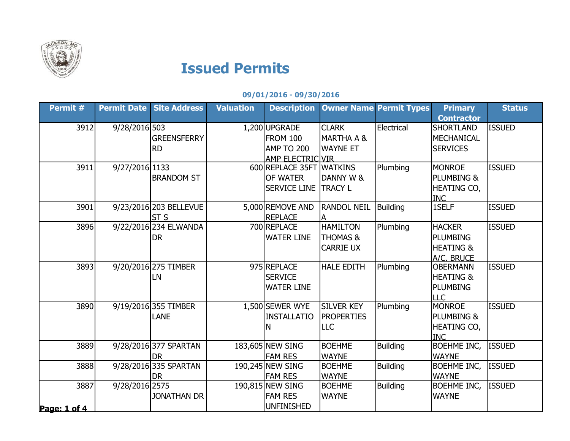

## Issued Permits

## 09/01/2016 - 09/30/2016

| Permit #             | <b>Permit Date</b> | <b>Site Address</b>                   | <b>Valuation</b> | <b>Description</b>                                          |                                                            | <b>Owner Name Permit Types</b> | <b>Primary</b><br><b>Contractor</b>                                      | <b>Status</b> |
|----------------------|--------------------|---------------------------------------|------------------|-------------------------------------------------------------|------------------------------------------------------------|--------------------------------|--------------------------------------------------------------------------|---------------|
| 3912                 | 9/28/2016 503      | <b>GREENSFERRY</b>                    |                  | 1,200 UPGRADE<br><b>FROM 100</b>                            | <b>CLARK</b><br><b>MARTHA A &amp;</b>                      | Electrical                     | <b>SHORTLAND</b><br>MECHANICAL                                           | <b>ISSUED</b> |
|                      |                    | <b>RD</b>                             |                  | AMP TO 200<br>AMP ELECTRIC VIR                              | <b>WAYNE ET</b>                                            |                                | <b>SERVICES</b>                                                          |               |
| 3911                 | 9/27/2016 1133     | <b>BRANDOM ST</b>                     |                  | 600 REPLACE 35FT WATKINS<br>OF WATER<br><b>SERVICE LINE</b> | DANNY W &<br><b>TRACY L</b>                                | Plumbing                       | <b>MONROE</b><br><b>PLUMBING &amp;</b><br>HEATING CO,<br><b>INC</b>      | <b>ISSUED</b> |
| 3901                 |                    | 9/23/2016 203 BELLEVUE<br><b>ST S</b> |                  | 5,000 REMOVE AND<br><b>REPLACE</b>                          | <b>RANDOL NEIL</b>                                         | <b>Building</b>                | 1SELF                                                                    | <b>ISSUED</b> |
| 3896                 |                    | 9/22/2016 234 ELWANDA<br><b>DR</b>    |                  | 700 REPLACE<br><b>WATER LINE</b>                            | <b>HAMILTON</b><br><b>THOMAS &amp;</b><br><b>CARRIE UX</b> | Plumbing                       | <b>HACKER</b><br><b>PLUMBING</b><br><b>HEATING &amp;</b><br>A/C, BRUCE   | <b>ISSUED</b> |
| 3893                 |                    | 9/20/2016 275 TIMBER<br>LN            |                  | 975 REPLACE<br><b>SERVICE</b><br><b>WATER LINE</b>          | <b>HALE EDITH</b>                                          | Plumbing                       | <b>OBERMANN</b><br><b>HEATING &amp;</b><br><b>PLUMBING</b><br><b>LLC</b> | <b>ISSUED</b> |
| 3890                 |                    | 9/19/2016 355 TIMBER<br>LANE          |                  | 1,500 SEWER WYE<br><b>INSTALLATIO</b><br>N                  | <b>SILVER KEY</b><br><b>PROPERTIES</b><br><b>LLC</b>       | Plumbing                       | <b>MONROE</b><br>PLUMBING &<br><b>HEATING CO,</b><br><b>INC</b>          | <b>ISSUED</b> |
| 3889                 |                    | 9/28/2016 377 SPARTAN<br><b>DR</b>    |                  | 183,605 NEW SING<br><b>FAM RES</b>                          | <b>BOEHME</b><br><b>WAYNE</b>                              | <b>Building</b>                | <b>BOEHME INC,</b><br><b>WAYNE</b>                                       | <b>ISSUED</b> |
| 3888                 |                    | 9/28/2016 335 SPARTAN<br>DR           |                  | 190,245 NEW SING<br><b>FAM RES</b>                          | <b>BOEHME</b><br><b>WAYNE</b>                              | <b>Building</b>                | <b>BOEHME INC,</b><br><b>WAYNE</b>                                       | <b>ISSUED</b> |
| 3887<br>Page: 1 of 4 | 9/28/2016 2575     | <b>JONATHAN DR</b>                    |                  | 190,815 NEW SING<br><b>FAM RES</b><br><b>UNFINISHED</b>     | <b>BOEHME</b><br><b>WAYNE</b>                              | <b>Building</b>                | <b>BOEHME INC,</b><br><b>WAYNE</b>                                       | <b>ISSUED</b> |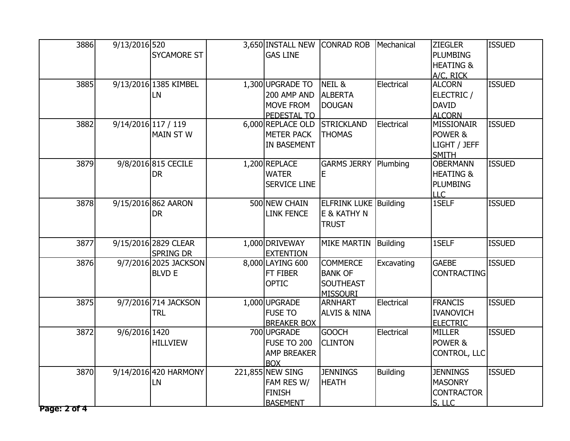| 3886         | 9/13/2016 520       |                       | 3,650 INSTALL NEW   | <b>CONRAD ROB</b>            | Mechanical      | <b>ZIEGLER</b>       | <b>ISSUED</b> |
|--------------|---------------------|-----------------------|---------------------|------------------------------|-----------------|----------------------|---------------|
|              |                     | <b>SYCAMORE ST</b>    | <b>GAS LINE</b>     |                              |                 | <b>PLUMBING</b>      |               |
|              |                     |                       |                     |                              |                 | <b>HEATING &amp;</b> |               |
|              |                     |                       |                     |                              |                 | A/C, RICK            |               |
| 3885         |                     | 9/13/2016 1385 KIMBEL | 1,300 UPGRADE TO    | NEIL &                       | Electrical      | <b>ALCORN</b>        | <b>ISSUED</b> |
|              |                     | <b>LN</b>             | 200 AMP AND         | <b>ALBERTA</b>               |                 | ELECTRIC /           |               |
|              |                     |                       | MOVE FROM           | <b>DOUGAN</b>                |                 | <b>DAVID</b>         |               |
|              |                     |                       | PEDESTAL TO         |                              |                 | <b>ALCORN</b>        |               |
| 3882         | 9/14/2016 117 / 119 |                       | 6,000 REPLACE OLD   | <b>STRICKLAND</b>            | Electrical      | <b>MISSIONAIR</b>    | <b>ISSUED</b> |
|              |                     | <b>MAIN ST W</b>      | <b>METER PACK</b>   | <b>THOMAS</b>                |                 | POWER &              |               |
|              |                     |                       | <b>IN BASEMENT</b>  |                              |                 | LIGHT / JEFF         |               |
|              |                     |                       |                     |                              |                 | <b>SMITH</b>         |               |
| 3879         |                     | 9/8/2016 815 CECILE   | $1,200$ REPLACE     | <b>GARMS JERRY Plumbing</b>  |                 | <b>OBERMANN</b>      | <b>ISSUED</b> |
|              |                     | <b>DR</b>             | <b>WATER</b>        | Ε                            |                 | <b>HEATING &amp;</b> |               |
|              |                     |                       | <b>SERVICE LINE</b> |                              |                 | PLUMBING             |               |
|              |                     |                       |                     |                              |                 | <b>LLC</b>           |               |
| 3878         |                     | 9/15/2016 862 AARON   | 500 NEW CHAIN       | <b>ELFRINK LUKE Building</b> |                 | 1SELF                | <b>ISSUED</b> |
|              |                     | <b>DR</b>             | <b>LINK FENCE</b>   | E & KATHY N                  |                 |                      |               |
|              |                     |                       |                     | <b>TRUST</b>                 |                 |                      |               |
| 3877         |                     | 9/15/2016 2829 CLEAR  | 1,000 DRIVEWAY      | <b>MIKE MARTIN</b>           | Building        | 1SELF                | <b>ISSUED</b> |
|              |                     | <b>SPRING DR</b>      | <b>EXTENTION</b>    |                              |                 |                      |               |
| 3876         |                     | 9/7/2016 2025 JACKSON | 8,000 LAYING 600    | <b>COMMERCE</b>              | Excavating      | <b>GAEBE</b>         | <b>ISSUED</b> |
|              |                     | <b>BLVD E</b>         | FT FIBER            | <b>BANK OF</b>               |                 | <b>CONTRACTING</b>   |               |
|              |                     |                       | <b>OPTIC</b>        | <b>SOUTHEAST</b>             |                 |                      |               |
|              |                     |                       |                     | <b>MISSOURI</b>              |                 |                      |               |
| 3875         |                     | 9/7/2016 714 JACKSON  | 1,000 UPGRADE       | <b>ARNHART</b>               | Electrical      | <b>FRANCIS</b>       | <b>ISSUED</b> |
|              |                     | <b>TRL</b>            | <b>FUSE TO</b>      | <b>ALVIS &amp; NINA</b>      |                 | <b>IVANOVICH</b>     |               |
|              |                     |                       | <b>BREAKER BOX</b>  |                              |                 | <b>ELECTRIC</b>      |               |
| 3872         | 9/6/2016 1420       |                       | 700 UPGRADE         | <b>GOOCH</b>                 | Electrical      | <b>MILLER</b>        | <b>ISSUED</b> |
|              |                     | <b>HILLVIEW</b>       | <b>FUSE TO 200</b>  | <b>CLINTON</b>               |                 | POWER &              |               |
|              |                     |                       | <b>AMP BREAKER</b>  |                              |                 | CONTROL, LLC         |               |
|              |                     |                       | <b>BOX</b>          |                              |                 |                      |               |
| 3870         |                     | 9/14/2016 420 HARMONY | 221,855 NEW SING    | <b>JENNINGS</b>              | <b>Building</b> | <b>JENNINGS</b>      | <b>ISSUED</b> |
|              |                     | <b>LN</b>             | FAM RES W/          | <b>HEATH</b>                 |                 | <b>MASONRY</b>       |               |
|              |                     |                       | <b>FINISH</b>       |                              |                 | <b>CONTRACTOR</b>    |               |
|              |                     |                       | <b>BASEMENT</b>     |                              |                 | S. LLC               |               |
| Page: 2 of 4 |                     |                       |                     |                              |                 |                      |               |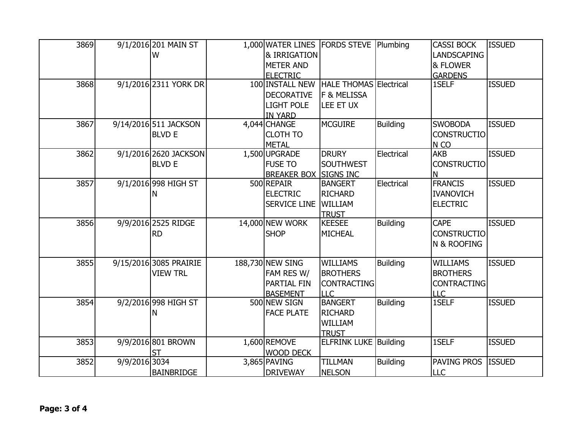| 3869 |               | 9/1/2016 201 MAIN ST   | 1,000 WATER LINES FORDS STEVE Plumbing |                               |                 | <b>CASSI BOCK</b>  | <b>ISSUED</b> |
|------|---------------|------------------------|----------------------------------------|-------------------------------|-----------------|--------------------|---------------|
|      |               | W                      | & IRRIGATION                           |                               |                 | <b>LANDSCAPING</b> |               |
|      |               |                        | <b>METER AND</b>                       |                               |                 | & FLOWER           |               |
|      |               |                        | <b>ELECTRIC</b>                        |                               |                 | <b>GARDENS</b>     |               |
| 3868 |               | 9/1/2016 2311 YORK DR  | 100 INSTALL NEW                        | <b>HALE THOMAS Electrical</b> |                 | 1SELF              | <b>ISSUED</b> |
|      |               |                        | <b>DECORATIVE</b>                      | <b>F &amp; MELISSA</b>        |                 |                    |               |
|      |               |                        | <b>LIGHT POLE</b>                      | LEE ET UX                     |                 |                    |               |
|      |               |                        | <b>IN YARD</b>                         |                               |                 |                    |               |
| 3867 |               | 9/14/2016 511 JACKSON  | 4,044 CHANGE                           | <b>MCGUIRE</b>                | <b>Building</b> | <b>SWOBODA</b>     | <b>ISSUED</b> |
|      |               | <b>BLVD E</b>          | <b>CLOTH TO</b>                        |                               |                 | <b>CONSTRUCTIO</b> |               |
|      |               |                        | <b>METAL</b>                           |                               |                 | N <sub>CO</sub>    |               |
| 3862 |               | 9/1/2016 2620 JACKSON  | 1,500 UPGRADE                          | <b>DRURY</b>                  | Electrical      | <b>AKB</b>         | <b>ISSUED</b> |
|      |               | <b>BLVD E</b>          | <b>FUSE TO</b>                         | <b>SOUTHWEST</b>              |                 | <b>CONSTRUCTIO</b> |               |
|      |               |                        | <b>BREAKER BOX SIGNS INC</b>           |                               |                 | Ν                  |               |
| 3857 |               | 9/1/2016 998 HIGH ST   | 500 REPAIR                             | <b>BANGERT</b>                | Electrical      | <b>FRANCIS</b>     | <b>ISSUED</b> |
|      |               | Ν                      | <b>ELECTRIC</b>                        | <b>RICHARD</b>                |                 | <b>IVANOVICH</b>   |               |
|      |               |                        | <b>SERVICE LINE</b>                    | <b>WILLIAM</b>                |                 | <b>ELECTRIC</b>    |               |
|      |               |                        |                                        | <b>TRUST</b>                  |                 |                    |               |
| 3856 |               | 9/9/2016 2525 RIDGE    | 14,000 NEW WORK                        | <b>KEESEE</b>                 | <b>Building</b> | <b>CAPE</b>        | <b>ISSUED</b> |
|      |               | <b>RD</b>              | <b>SHOP</b>                            | <b>MICHEAL</b>                |                 | <b>CONSTRUCTIO</b> |               |
|      |               |                        |                                        |                               |                 | N & ROOFING        |               |
|      |               |                        |                                        |                               |                 |                    |               |
| 3855 |               | 9/15/2016 3085 PRAIRIE | 188,730 NEW SING                       | <b>WILLIAMS</b>               | <b>Building</b> | <b>WILLIAMS</b>    | <b>ISSUED</b> |
|      |               | <b>VIEW TRL</b>        | FAM RES W/                             | <b>BROTHERS</b>               |                 | <b>BROTHERS</b>    |               |
|      |               |                        | PARTIAL FIN                            | <b>CONTRACTING</b>            |                 | <b>CONTRACTING</b> |               |
|      |               |                        | <b>BASEMENT</b>                        | LLC                           |                 | <b>LLC</b>         |               |
| 3854 |               | 9/2/2016 998 HIGH ST   | 500 NEW SIGN                           | <b>BANGERT</b>                | <b>Building</b> | 1SELF              | <b>ISSUED</b> |
|      |               | Ν                      | <b>FACE PLATE</b>                      | <b>RICHARD</b>                |                 |                    |               |
|      |               |                        |                                        | WILLIAM                       |                 |                    |               |
|      |               |                        |                                        | <b>TRUST</b>                  |                 |                    |               |
| 3853 |               | 9/9/2016 801 BROWN     | 1,600 REMOVE                           | <b>ELFRINK LUKE Building</b>  |                 | 1SELF              | <b>ISSUED</b> |
|      |               | <b>ST</b>              | WOOD DECK                              |                               |                 |                    |               |
| 3852 | 9/9/2016 3034 |                        | 3,865 PAVING                           | <b>TILLMAN</b>                | <b>Building</b> | PAVING PROS        | <b>ISSUED</b> |
|      |               | <b>BAINBRIDGE</b>      | <b>DRIVEWAY</b>                        | <b>NELSON</b>                 |                 | <b>LLC</b>         |               |